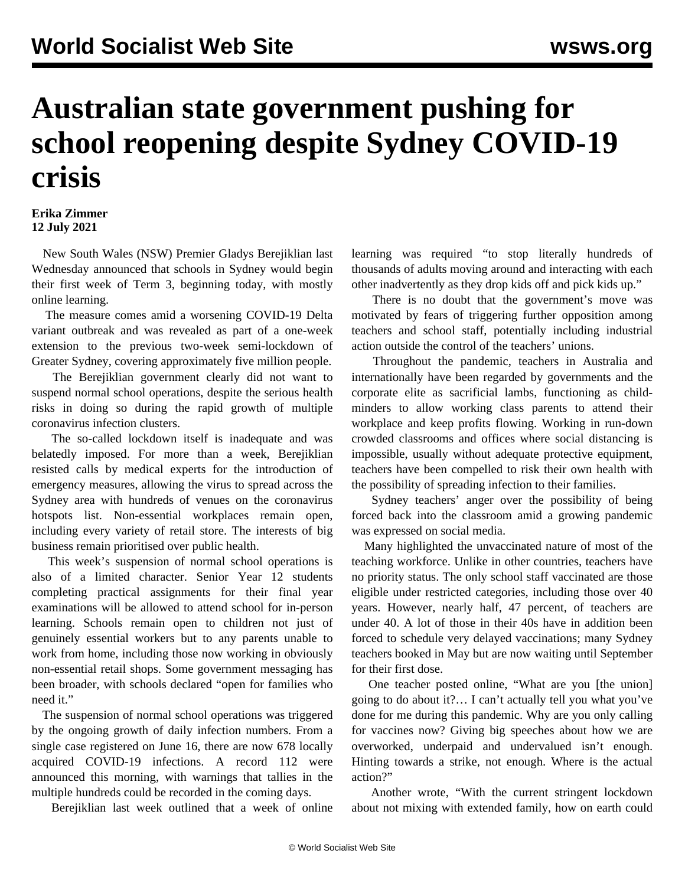## **Australian state government pushing for school reopening despite Sydney COVID-19 crisis**

## **Erika Zimmer 12 July 2021**

 New South Wales (NSW) Premier Gladys Berejiklian last Wednesday announced that schools in Sydney would begin their first week of Term 3, beginning today, with mostly online learning.

 The measure comes amid a worsening COVID-19 Delta variant outbreak and was revealed as part of a one-week extension to the previous two-week semi-lockdown of Greater Sydney, covering approximately five million people.

 The Berejiklian government clearly did not want to suspend normal school operations, despite the serious health risks in doing so during the rapid growth of multiple coronavirus infection clusters.

 The so-called lockdown itself is inadequate and was belatedly imposed. For more than a week, Berejiklian resisted calls by medical experts for the introduction of emergency measures, allowing the virus to spread across the Sydney area with hundreds of venues on the coronavirus hotspots list. Non-essential workplaces remain open, including every variety of retail store. The interests of big business remain prioritised over public health.

 This week's suspension of normal school operations is also of a limited character. Senior Year 12 students completing practical assignments for their final year examinations will be allowed to attend school for in-person learning. Schools remain open to children not just of genuinely essential workers but to any parents unable to work from home, including those now working in obviously non-essential retail shops. Some government messaging has been broader, with schools declared "open for families who need it."

 The suspension of normal school operations was triggered by the ongoing growth of daily infection numbers. From a single case registered on June 16, there are now 678 locally acquired COVID-19 infections. A record 112 were announced this morning, with warnings that tallies in the multiple hundreds could be recorded in the coming days.

Berejiklian last week outlined that a week of online

learning was required "to stop literally hundreds of thousands of adults moving around and interacting with each other inadvertently as they drop kids off and pick kids up."

 There is no doubt that the government's move was motivated by fears of triggering further opposition among teachers and school staff, potentially including industrial action outside the control of the teachers' unions.

 Throughout the pandemic, teachers in Australia and internationally have been regarded by governments and the corporate elite as sacrificial lambs, functioning as childminders to allow working class parents to attend their workplace and keep profits flowing. Working in run-down crowded classrooms and offices where social distancing is impossible, usually without adequate protective equipment, teachers have been compelled to risk their own health with the possibility of spreading infection to their families.

 Sydney teachers' anger over the possibility of being forced back into the classroom amid a growing pandemic was expressed on social media.

 Many highlighted the unvaccinated nature of most of the teaching workforce. Unlike in other countries, teachers have no priority status. The only school staff vaccinated are those eligible under restricted categories, including those over 40 years. However, nearly half, 47 percent, of teachers are under 40. A lot of those in their 40s have in addition been forced to schedule very delayed vaccinations; many Sydney teachers booked in May but are now waiting until September for their first dose.

 One teacher posted online, "What are you [the union] going to do about it?… I can't actually tell you what you've done for me during this pandemic. Why are you only calling for vaccines now? Giving big speeches about how we are overworked, underpaid and undervalued isn't enough. Hinting towards a strike, not enough. Where is the actual action?"

 Another wrote, "With the current stringent lockdown about not mixing with extended family, how on earth could